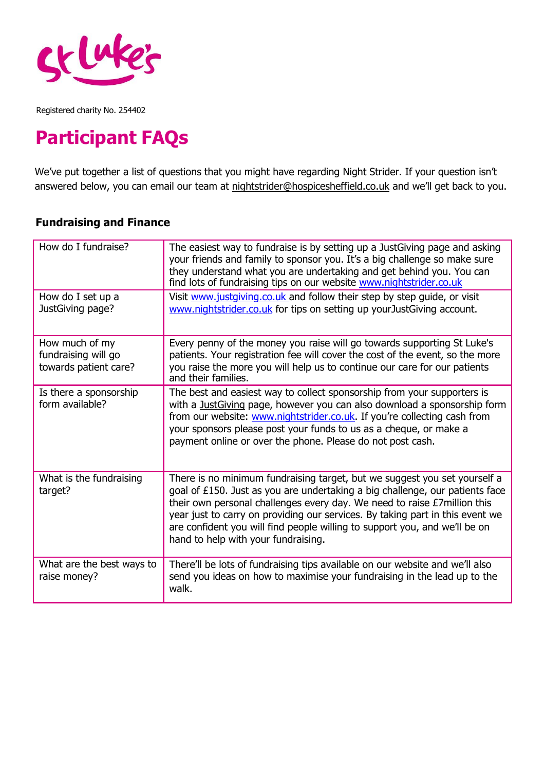

### **Participant FAQs**

We've put together a list of questions that you might have regarding Night Strider. If your question isn't answered below, you can email our team at [nightstrider@hospicesheffield.co.uk](mailto:nightstrider@hospicesheffield.co.uk) and we'll get back to you.

#### **Fundraising and Finance**

| How do I fundraise?                                            | The easiest way to fundraise is by setting up a JustGiving page and asking<br>your friends and family to sponsor you. It's a big challenge so make sure                                                                                                                                                                                                                                                                                     |
|----------------------------------------------------------------|---------------------------------------------------------------------------------------------------------------------------------------------------------------------------------------------------------------------------------------------------------------------------------------------------------------------------------------------------------------------------------------------------------------------------------------------|
|                                                                | they understand what you are undertaking and get behind you. You can<br>find lots of fundraising tips on our website www.nightstrider.co.uk                                                                                                                                                                                                                                                                                                 |
| How do I set up a<br>JustGiving page?                          | Visit www.justgiving.co.uk and follow their step by step guide, or visit<br>www.nightstrider.co.uk for tips on setting up your Just Giving account.                                                                                                                                                                                                                                                                                         |
| How much of my<br>fundraising will go<br>towards patient care? | Every penny of the money you raise will go towards supporting St Luke's<br>patients. Your registration fee will cover the cost of the event, so the more<br>you raise the more you will help us to continue our care for our patients<br>and their families.                                                                                                                                                                                |
| Is there a sponsorship<br>form available?                      | The best and easiest way to collect sponsorship from your supporters is<br>with a JustGiving page, however you can also download a sponsorship form<br>from our website: www.nightstrider.co.uk. If you're collecting cash from<br>your sponsors please post your funds to us as a cheque, or make a<br>payment online or over the phone. Please do not post cash.                                                                          |
| What is the fundraising<br>target?                             | There is no minimum fundraising target, but we suggest you set yourself a<br>goal of £150. Just as you are undertaking a big challenge, our patients face<br>their own personal challenges every day. We need to raise £7million this<br>year just to carry on providing our services. By taking part in this event we<br>are confident you will find people willing to support you, and we'll be on<br>hand to help with your fundraising. |
| What are the best ways to<br>raise money?                      | There'll be lots of fundraising tips available on our website and we'll also<br>send you ideas on how to maximise your fundraising in the lead up to the<br>walk.                                                                                                                                                                                                                                                                           |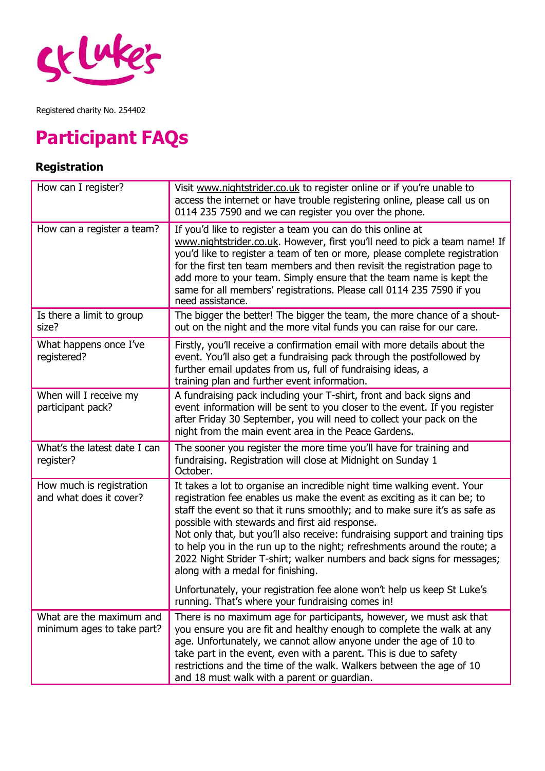

# **Participant FAQs**

#### **Registration**

| How can I register?                                    | Visit www.nightstrider.co.uk to register online or if you're unable to<br>access the internet or have trouble registering online, please call us on<br>0114 235 7590 and we can register you over the phone.                                                                                                                                                                                                                                                                                                                                                    |
|--------------------------------------------------------|-----------------------------------------------------------------------------------------------------------------------------------------------------------------------------------------------------------------------------------------------------------------------------------------------------------------------------------------------------------------------------------------------------------------------------------------------------------------------------------------------------------------------------------------------------------------|
| How can a register a team?                             | If you'd like to register a team you can do this online at<br>www.nightstrider.co.uk. However, first you'll need to pick a team name! If<br>you'd like to register a team of ten or more, please complete registration<br>for the first ten team members and then revisit the registration page to<br>add more to your team. Simply ensure that the team name is kept the<br>same for all members' registrations. Please call 0114 235 7590 if you<br>need assistance.                                                                                          |
| Is there a limit to group<br>size?                     | The bigger the better! The bigger the team, the more chance of a shout-<br>out on the night and the more vital funds you can raise for our care.                                                                                                                                                                                                                                                                                                                                                                                                                |
| What happens once I've<br>registered?                  | Firstly, you'll receive a confirmation email with more details about the<br>event. You'll also get a fundraising pack through the postfollowed by<br>further email updates from us, full of fundraising ideas, a<br>training plan and further event information.                                                                                                                                                                                                                                                                                                |
| When will I receive my<br>participant pack?            | A fundraising pack including your T-shirt, front and back signs and<br>event information will be sent to you closer to the event. If you register<br>after Friday 30 September, you will need to collect your pack on the<br>night from the main event area in the Peace Gardens.                                                                                                                                                                                                                                                                               |
| What's the latest date I can<br>register?              | The sooner you register the more time you'll have for training and<br>fundraising. Registration will close at Midnight on Sunday 1<br>October.                                                                                                                                                                                                                                                                                                                                                                                                                  |
| How much is registration<br>and what does it cover?    | It takes a lot to organise an incredible night time walking event. Your<br>registration fee enables us make the event as exciting as it can be; to<br>staff the event so that it runs smoothly; and to make sure it's as safe as<br>possible with stewards and first aid response.<br>Not only that, but you'll also receive: fundraising support and training tips<br>to help you in the run up to the night; refreshments around the route; a<br>2022 Night Strider T-shirt; walker numbers and back signs for messages;<br>along with a medal for finishing. |
|                                                        | Unfortunately, your registration fee alone won't help us keep St Luke's<br>running. That's where your fundraising comes in!                                                                                                                                                                                                                                                                                                                                                                                                                                     |
| What are the maximum and<br>minimum ages to take part? | There is no maximum age for participants, however, we must ask that<br>you ensure you are fit and healthy enough to complete the walk at any<br>age. Unfortunately, we cannot allow anyone under the age of 10 to<br>take part in the event, even with a parent. This is due to safety<br>restrictions and the time of the walk. Walkers between the age of 10<br>and 18 must walk with a parent or guardian.                                                                                                                                                   |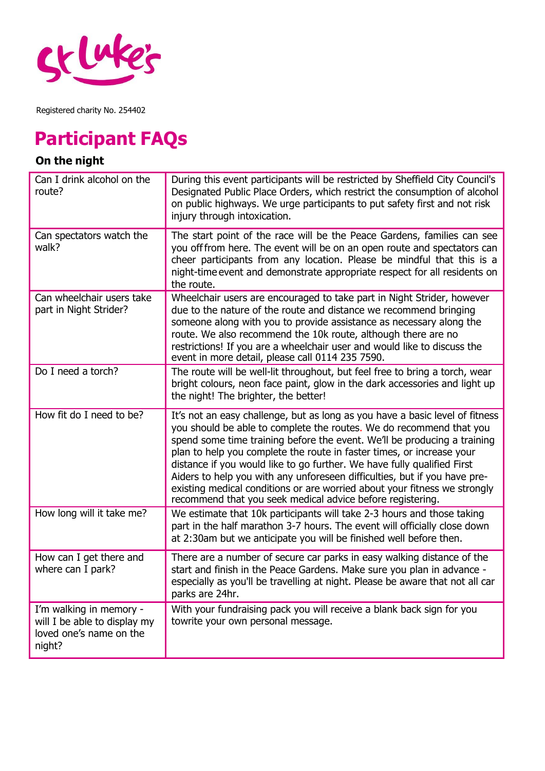

## **Participant FAQs**

### **On the night**

| Can I drink alcohol on the<br>route?                                                         | During this event participants will be restricted by Sheffield City Council's<br>Designated Public Place Orders, which restrict the consumption of alcohol<br>on public highways. We urge participants to put safety first and not risk<br>injury through intoxication.                                                                                                                                                                                                                                                                                                                                     |
|----------------------------------------------------------------------------------------------|-------------------------------------------------------------------------------------------------------------------------------------------------------------------------------------------------------------------------------------------------------------------------------------------------------------------------------------------------------------------------------------------------------------------------------------------------------------------------------------------------------------------------------------------------------------------------------------------------------------|
| Can spectators watch the<br>walk?                                                            | The start point of the race will be the Peace Gardens, families can see<br>you off from here. The event will be on an open route and spectators can<br>cheer participants from any location. Please be mindful that this is a<br>night-time event and demonstrate appropriate respect for all residents on<br>the route.                                                                                                                                                                                                                                                                                    |
| Can wheelchair users take<br>part in Night Strider?                                          | Wheelchair users are encouraged to take part in Night Strider, however<br>due to the nature of the route and distance we recommend bringing<br>someone along with you to provide assistance as necessary along the<br>route. We also recommend the 10k route, although there are no<br>restrictions! If you are a wheelchair user and would like to discuss the<br>event in more detail, please call 0114 235 7590.                                                                                                                                                                                         |
| Do I need a torch?                                                                           | The route will be well-lit throughout, but feel free to bring a torch, wear<br>bright colours, neon face paint, glow in the dark accessories and light up<br>the night! The brighter, the better!                                                                                                                                                                                                                                                                                                                                                                                                           |
| How fit do I need to be?                                                                     | It's not an easy challenge, but as long as you have a basic level of fitness<br>you should be able to complete the routes. We do recommend that you<br>spend some time training before the event. We'll be producing a training<br>plan to help you complete the route in faster times, or increase your<br>distance if you would like to go further. We have fully qualified First<br>Aiders to help you with any unforeseen difficulties, but if you have pre-<br>existing medical conditions or are worried about your fitness we strongly<br>recommend that you seek medical advice before registering. |
| How long will it take me?                                                                    | We estimate that 10k participants will take 2-3 hours and those taking<br>part in the half marathon 3-7 hours. The event will officially close down<br>at 2:30am but we anticipate you will be finished well before then.                                                                                                                                                                                                                                                                                                                                                                                   |
| How can I get there and<br>where can I park?                                                 | There are a number of secure car parks in easy walking distance of the<br>start and finish in the Peace Gardens. Make sure you plan in advance -<br>especially as you'll be travelling at night. Please be aware that not all car<br>parks are 24hr.                                                                                                                                                                                                                                                                                                                                                        |
| I'm walking in memory -<br>will I be able to display my<br>loved one's name on the<br>night? | With your fundraising pack you will receive a blank back sign for you<br>towrite your own personal message.                                                                                                                                                                                                                                                                                                                                                                                                                                                                                                 |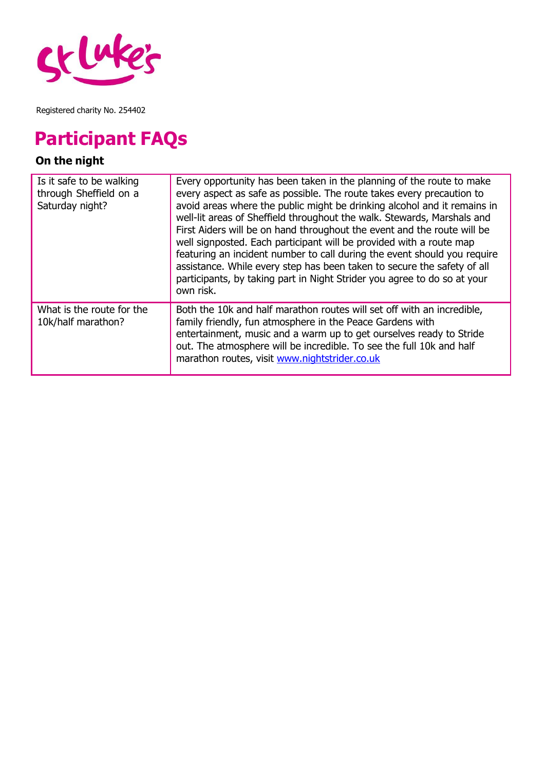

## **Participant FAQs**

### **On the night**

| Is it safe to be walking<br>through Sheffield on a<br>Saturday night? | Every opportunity has been taken in the planning of the route to make<br>every aspect as safe as possible. The route takes every precaution to<br>avoid areas where the public might be drinking alcohol and it remains in<br>well-lit areas of Sheffield throughout the walk. Stewards, Marshals and<br>First Aiders will be on hand throughout the event and the route will be<br>well signposted. Each participant will be provided with a route map<br>featuring an incident number to call during the event should you require<br>assistance. While every step has been taken to secure the safety of all<br>participants, by taking part in Night Strider you agree to do so at your<br>own risk. |
|-----------------------------------------------------------------------|---------------------------------------------------------------------------------------------------------------------------------------------------------------------------------------------------------------------------------------------------------------------------------------------------------------------------------------------------------------------------------------------------------------------------------------------------------------------------------------------------------------------------------------------------------------------------------------------------------------------------------------------------------------------------------------------------------|
| What is the route for the<br>10k/half marathon?                       | Both the 10k and half marathon routes will set off with an incredible,<br>family friendly, fun atmosphere in the Peace Gardens with<br>entertainment, music and a warm up to get ourselves ready to Stride<br>out. The atmosphere will be incredible. To see the full 10k and half<br>marathon routes, visit www.nightstrider.co.uk                                                                                                                                                                                                                                                                                                                                                                     |